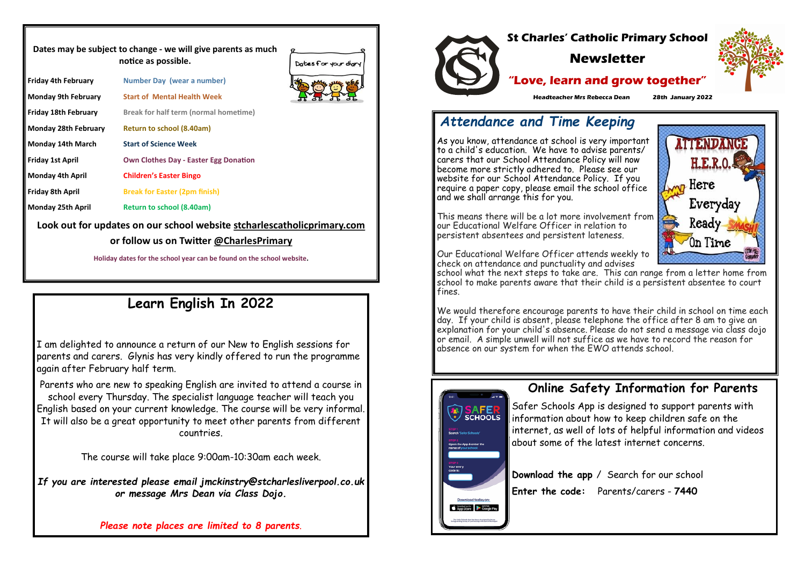|                            | Dates may be subject to change - we will give parents as much<br>notice as possible. | Dates for your diary |
|----------------------------|--------------------------------------------------------------------------------------|----------------------|
| Friday 4th February        | <b>Number Day (wear a number)</b>                                                    |                      |
| <b>Monday 9th February</b> | <b>Start of Mental Health Week</b>                                                   |                      |
| Friday 18th February       | <b>Break for half term (normal hometime)</b>                                         |                      |
| Monday 28th February       | <b>Return to school (8.40am)</b>                                                     |                      |
| Monday 14th March          | <b>Start of Science Week</b>                                                         |                      |
| Friday 1st April           | <b>Own Clothes Day - Easter Egg Donation</b>                                         |                      |
| <b>Monday 4th April</b>    | <b>Children's Easter Bingo</b>                                                       |                      |
| Friday 8th April           | <b>Break for Easter (2pm finish)</b>                                                 |                      |
| Monday 25th April          | <b>Return to school (8.40am)</b>                                                     |                      |
|                            | Look out for updates on our school website stcharlescatholic primary.com             |                      |
|                            | or follow us on Twitter @CharlesPrimary                                              |                      |
|                            | Holiday dates for the school year can be found on the school website.                |                      |

# **Learn English In 2022**

I am delighted to announce a return of our New to English sessions for parents and carers. Glynis has very kindly offered to run the programme again after February half term.

Parents who are new to speaking English are invited to attend a course in school every Thursday. The specialist language teacher will teach you English based on your current knowledge. The course will be very informal. It will also be a great opportunity to meet other parents from different countries.

The course will take place 9:00am-10:30am each week.

*If you are interested please email jmckinstry@stcharlesliverpool.co.uk or message Mrs Dean via Class Dojo.* 

*Please note places are limited to 8 parents*.



### **Online Safety Information for Parents**



Safer Schools App is designed to support parents with information about how to keep children safe on the internet, as well of lots of helpful information and videos about some of the latest internet concerns.

**Download the app** / Search for our school **Enter the code:** Parents/carers - **7440**







# *Attendance and Time Keeping*

As you know, attendance at school is very important to a child's education. We have to advise parents/ carers that our School Attendance Policy will now become more strictly adhered to. Please see our website for our School Attendance Policy. If you require a paper copy, please email the school office and we shall arrange this for you.

This means there will be a lot more involvement from our Educational Welfare Officer in relation to persistent absentees and persistent lateness.

Our Educational Welfare Officer attends weekly to check on attendance and punctuality and advises school what the next steps to take are. This can range from a letter home from school to make parents aware that their child is a persistent absentee to court fines.

We would therefore encourage parents to have their child in school on time each day. If your child is absent, please telephone the office after 8 am to give an explanation for your child's absence. Please do not send a message via class dojo or email. A simple unwell will not suffice as we have to record the reason for absence on our system for when the EWO attends school.